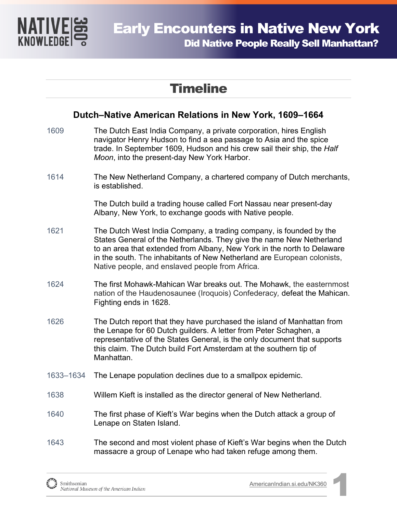

## **Timeline**

## **Dutch–Native American Relations in New York, 1609–1664**

- 1609 The Dutch East India Company, a private corporation, hires English navigator Henry Hudson to find a sea passage to Asia and the spice trade. In September 1609, Hudson and his crew sail their ship, the *Half Moon*, into the present-day New York Harbor. 1614 The New Netherland Company, a chartered company of Dutch merchants, is established. The Dutch build a trading house called Fort Nassau near present-day Albany, New York, to exchange goods with Native people. 1621 The Dutch West India Company, a trading company, is founded by the States General of the Netherlands. They give the name New Netherland to an area that extended from Albany, New York in the north to Delaware in the south. The [inhabitants of New Netherland](https://en.wikipedia.org/wiki/New_Netherlander) are European colonists, Native people, and enslaved people from Africa. 1624 The first Mohawk-Mahican War breaks out. The Mohawk, the easternmost nation of the Haudenosaunee (Iroquois) Confederacy*,* defeat the Mahican. Fighting ends in 1628. 1626 The Dutch report that they have purchased the island of Manhattan from the Lenape for 60 Dutch guilders. A letter from Peter Schaghen, a representative of the States General, is the only document that supports this claim. The Dutch build Fort Amsterdam at the southern tip of Manhattan. 1633–1634 The Lenape population declines due to a smallpox epidemic. 1638 Willem Kieft is installed as the director general of New Netherland. 1640 The first phase of Kieft's War begins when the Dutch attack a group of Lenape on Staten Island.
- 1643 The second and most violent phase of Kieft's War begins when the Dutch massacre a group of Lenape who had taken refuge among them.